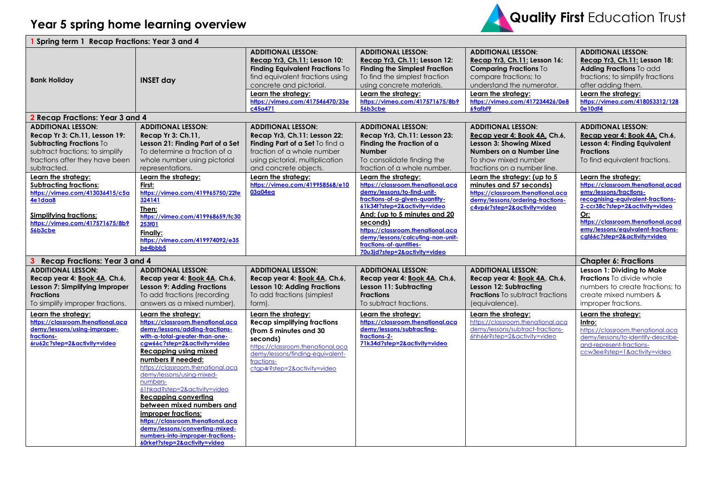

| 1 Spring term 1 Recap Fractions: Year 3 and 4                                                                                                                                                            |                                                                                                                                                                                                                                                                                                                                                                                                                                                                                                                                                         |                                                                                                                                                                                                                                 |                                                                                                                                                                                                                                                                                                                   |                                                                                                                                                                                                                       |                                                                                                                                                                                                                                                       |
|----------------------------------------------------------------------------------------------------------------------------------------------------------------------------------------------------------|---------------------------------------------------------------------------------------------------------------------------------------------------------------------------------------------------------------------------------------------------------------------------------------------------------------------------------------------------------------------------------------------------------------------------------------------------------------------------------------------------------------------------------------------------------|---------------------------------------------------------------------------------------------------------------------------------------------------------------------------------------------------------------------------------|-------------------------------------------------------------------------------------------------------------------------------------------------------------------------------------------------------------------------------------------------------------------------------------------------------------------|-----------------------------------------------------------------------------------------------------------------------------------------------------------------------------------------------------------------------|-------------------------------------------------------------------------------------------------------------------------------------------------------------------------------------------------------------------------------------------------------|
| <b>Bank Holiday</b>                                                                                                                                                                                      | <b>INSET day</b>                                                                                                                                                                                                                                                                                                                                                                                                                                                                                                                                        | <b>ADDITIONAL LESSON:</b><br>Recap Yr3, Ch.11: Lesson 10:<br>Finding Equivalent Fractions To<br>find equivalent fractions using<br>concrete and pictorial.<br>Learn the strategy:<br>https://vimeo.com/417546470/33e<br>c45a471 | <b>ADDITIONAL LESSON:</b><br>Recap Yr3, Ch.11: Lesson 12:<br><b>Finding the Simplest Fraction</b><br>To find the simplest fraction<br>using concrete materials.<br>Learn the strategy:<br>https://vimeo.com/417571675/8b9<br>56b3cbe                                                                              | <b>ADDITIONAL LESSON:</b><br>Recap Yr3, Ch.11: Lesson 16:<br><b>Comparing Fractions To</b><br>compare fractions; to<br>understand the numerator.<br>Learn the strategy:<br>https://vimeo.com/417234426/0e8<br>69afbf9 | <b>ADDITIONAL LESSON:</b><br>Recap Yr3, Ch.11: Lesson 18:<br>Adding Fractions To add<br>fractions; to simplify fractions<br>after adding them.<br>Learn the strategy:<br>https://vimeo.com/418053312/128<br>0e10df4                                   |
| 2 Recap Fractions: Year 3 and 4                                                                                                                                                                          |                                                                                                                                                                                                                                                                                                                                                                                                                                                                                                                                                         |                                                                                                                                                                                                                                 |                                                                                                                                                                                                                                                                                                                   |                                                                                                                                                                                                                       |                                                                                                                                                                                                                                                       |
| <b>ADDITIONAL LESSON:</b><br>Recap Yr 3: Ch.11, Lesson 19:<br><b>Subtracting Fractions To</b><br>subtract fractions; to simplify<br>fractions after they have been<br>subtracted.<br>Learn the strategy: | <b>ADDITIONAL LESSON:</b><br>Recap Yr 3: Ch.11,<br>Lesson 21: Finding Part of a Set<br>To determine a fraction of a<br>whole number using pictorial<br>representations.<br>Learn the strategy:                                                                                                                                                                                                                                                                                                                                                          | <b>ADDITIONAL LESSON:</b><br>Recap Yr3, Ch.11: Lesson 22:<br>Finding Part of a Set To find a<br>fraction of a whole number<br>using pictorial, multiplication<br>and concrete objects.<br>Learn the strategy:                   | <b>ADDITIONAL LESSON:</b><br>Recap Yr3, Ch.11: Lesson 23:<br>Finding the Fraction of a<br><b>Number</b><br>To consolidate finding the<br>fraction of a whole number.<br>Learn the strategy:                                                                                                                       | <b>ADDITIONAL LESSON:</b><br>Recap year 4: Book 4A, Ch.6,<br><b>Lesson 3: Showing Mixed</b><br><b>Numbers on a Number Line</b><br>To show mixed number<br>fractions on a number line.<br>Learn the strategy: (up to 5 | <b>ADDITIONAL LESSON:</b><br>Recap year 4: Book 4A, Ch.6,<br>Lesson 4: Finding Equivalent<br><b>Fractions</b><br>To find equivalent fractions.<br>Learn the strategy:                                                                                 |
| <b>Subtracting fractions:</b><br>https://vimeo.com/413036415/c5a<br>4e1daa8<br><b>Simplifying fractions:</b><br>https://vimeo.com/417571675/8b9<br>56b3cbe                                               | First:<br>https://vimeo.com/419965750/22fe<br>324141<br>Then:<br>https://vimeo.com/419968659/fc30<br>253f01<br>Finally:<br>https://vimeo.com/419974092/e35<br>be4bbb5                                                                                                                                                                                                                                                                                                                                                                                   | https://vimeo.com/419958568/e10<br>03a04ea                                                                                                                                                                                      | https://classroom.thenational.aca<br>demy/lessons/to-find-unit-<br>fractions-of-a-given-quantity-<br>61k34t?step=2&activity=video<br>And: (up to 5 minutes and 20<br>seconds)<br>https://classroom.thenational.aca<br>demy/lessons/calcuting-non-unit-<br>fractions-of-quntities-<br>70u3jd?step=2&activity=video | minutes and 57 seconds)<br>https://classroom.thenational.aca<br>demy/lessons/ordering-fractions-<br>c4vp6r?step=2&activity=video                                                                                      | https://classroom.thenational.acad<br>emv/lessons/fractions-<br>recognising-equivalent-fractions-<br>2-ccr38c?step=2&activity=video<br>Or:<br>https://classroom.thenational.acad<br>emy/lessons/equivalent-fractions-<br>cgt66c?step=2&activity=video |
| <b>Recap Fractions: Year 3 and 4</b><br>3                                                                                                                                                                |                                                                                                                                                                                                                                                                                                                                                                                                                                                                                                                                                         |                                                                                                                                                                                                                                 |                                                                                                                                                                                                                                                                                                                   |                                                                                                                                                                                                                       | <b>Chapter 6: Fractions</b>                                                                                                                                                                                                                           |
| <b>ADDITIONAL LESSON:</b><br>Recap year 4: Book 4A, Ch.6,<br>Lesson 7: Simplifying Improper<br><b>Fractions</b><br>To simplify improper fractions.                                                       | <b>ADDITIONAL LESSON:</b><br>Recap year 4: Book 4A, Ch.6,<br><b>Lesson 9: Adding Fractions</b><br>To add fractions (recording<br>answers as a mixed number).                                                                                                                                                                                                                                                                                                                                                                                            | <b>ADDITIONAL LESSON:</b><br>Recap year 4: Book 4A, Ch.6,<br><b>Lesson 10: Adding Fractions</b><br>To add fractions (simplest<br>form).                                                                                         | <b>ADDITIONAL LESSON:</b><br>Recap year 4: Book 4A, Ch.6,<br>Lesson 11: Subtracting<br><b>Fractions</b><br>To subtract fractions.                                                                                                                                                                                 | <b>ADDITIONAL LESSON:</b><br>Recap year 4: Book 4A, Ch.6,<br>Lesson 12: Subtracting<br><b>Fractions</b> To subtract fractions<br>(equivalence).                                                                       | Lesson 1: Dividing to Make<br>Fractions To divide whole<br>numbers to create fractions: to<br>create mixed numbers &<br>improper fractions.                                                                                                           |
| Learn the strategy:<br>https://classroom.thenational.aca<br>demy/lessons/using-improper-<br>fractions-<br>6ru62c?step=2&activity=video                                                                   | Learn the strategy:<br>https://classroom.thenational.aca<br>demy/lessons/adding-fractions-<br>with-a-total-areater-than-one-<br>cgw66c?step=2&activity=video<br><b>Recapping using mixed</b><br>numbers if needed:<br>https://classroom.thenational.aca<br>demy/lessons/using-mixed-<br>numbers-<br>61hkad?step=2&activity=video<br>Recapping converting<br>between mixed numbers and<br>improper fractions:<br>https://classroom.thenational.aca<br>demy/lessons/converting-mixed-<br>numbers-into-improper-fractions-<br>60rket?step=2&activity=video | Learn the strategy:<br><b>Recap simplifying fractions</b><br>(from 5 minutes and 30<br>seconds)<br>https://classroom.thenational.aca<br>demy/lessons/finding-equivalent-<br>fractions-<br>ctgp4r?step=2&activity=video          | Learn the strategy:<br>https://classroom.thenational.aca<br>demy/lessons/subtracting-<br>fractions-2-<br>71k34d?step=2&activity=video                                                                                                                                                                             | Learn the strategy:<br>https://classroom.thenational.aca<br>demy/lessons/subtract-fractions-<br>6hh66r?step=2&activity=video                                                                                          | Learn the strategy:<br>Intro:<br>https://classroom.thenational.aca<br>demy/lessons/to-identify-describe-<br>and-represent-fractions-<br>ccw3ee?step=1&activity=video                                                                                  |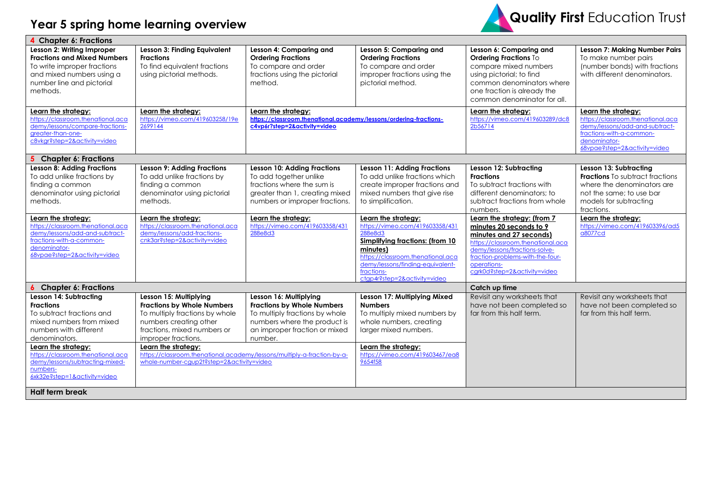## **Year 5 spring home learning overview**



| <b>Chapter 6: Fractions</b>                                                                                                                                                                                                                                                               |                                                                                                                                                                                                                                                                                                                              |                                                                                                                                                                           |                                                                                                                                                                                                                                         |                                                                                                                                                                                                                                            |                                                                                                                                                                        |  |
|-------------------------------------------------------------------------------------------------------------------------------------------------------------------------------------------------------------------------------------------------------------------------------------------|------------------------------------------------------------------------------------------------------------------------------------------------------------------------------------------------------------------------------------------------------------------------------------------------------------------------------|---------------------------------------------------------------------------------------------------------------------------------------------------------------------------|-----------------------------------------------------------------------------------------------------------------------------------------------------------------------------------------------------------------------------------------|--------------------------------------------------------------------------------------------------------------------------------------------------------------------------------------------------------------------------------------------|------------------------------------------------------------------------------------------------------------------------------------------------------------------------|--|
| Lesson 2: Writing Improper<br><b>Fractions and Mixed Numbers</b><br>To write improper fractions<br>and mixed numbers using a<br>number line and pictorial<br>methods.                                                                                                                     | Lesson 3: Finding Equivalent<br><b>Fractions</b><br>To find equivalent fractions<br>using pictorial methods.                                                                                                                                                                                                                 | Lesson 4: Comparing and<br><b>Ordering Fractions</b><br>To compare and order<br>fractions using the pictorial<br>method.                                                  | Lesson 5: Comparing and<br><b>Ordering Fractions</b><br>To compare and order<br>improper fractions using the<br>pictorial method.                                                                                                       | Lesson 6: Comparing and<br><b>Ordering Fractions To</b><br>compare mixed numbers<br>using pictorial; to find<br>common denominators where<br>one fraction is already the<br>common denominator for all.                                    | <b>Lesson 7: Making Number Pairs</b><br>To make number pairs<br>(number bonds) with fractions<br>with different denominators.                                          |  |
| Learn the strategy:<br>https://classroom.thenational.aca<br>demy/lessons/compare-fractions-<br>greater-than-one-<br>c8vkgr?step=2&activity=video                                                                                                                                          | Learn the strategy:<br>https://vimeo.com/419603258/19e<br>2699144                                                                                                                                                                                                                                                            | Learn the strategy:<br>https://classroom.thenational.academy/lessons/ordering-fractions-<br>c4vp6r?step=2&activity=video                                                  |                                                                                                                                                                                                                                         | Learn the strategy:<br>https://vimeo.com/419603289/dc8<br>2b56714                                                                                                                                                                          | Learn the strategy:<br>https://classroom.thenational.aca<br>demy/lessons/add-and-subtract-<br>fractions-with-a-common-<br>denominator-<br>68vpae?step=2&activity=video |  |
| <b>Chapter 6: Fractions</b><br>5.                                                                                                                                                                                                                                                         |                                                                                                                                                                                                                                                                                                                              |                                                                                                                                                                           |                                                                                                                                                                                                                                         |                                                                                                                                                                                                                                            |                                                                                                                                                                        |  |
| <b>Lesson 8: Adding Fractions</b><br>To add unlike fractions by<br>finding a common<br>denominator using pictorial<br>methods.                                                                                                                                                            | <b>Lesson 9: Adding Fractions</b><br>To add unlike fractions by<br>finding a common<br>denominator using pictorial<br>methods.                                                                                                                                                                                               | <b>Lesson 10: Adding Fractions</b><br>To add together unlike<br>fractions where the sum is<br>greater than 1, creating mixed<br>numbers or improper fractions.            | <b>Lesson 11: Adding Fractions</b><br>To add unlike fractions which<br>create improper fractions and<br>mixed numbers that give rise<br>to simplification.                                                                              | Lesson 12: Subtracting<br><b>Fractions</b><br>To subtract fractions with<br>different denominators: to<br>subtract fractions from whole<br>numbers.                                                                                        | Lesson 13: Subtracting<br><b>Fractions</b> To subtract fractions<br>where the denominators are<br>not the same: to use bar<br>models for subtracting<br>fractions.     |  |
| Learn the strategy:<br>https://classroom.thenational.aca<br>demy/lessons/add-and-subtract-<br>fractions-with-a-common-<br>denominator-<br>68vpae?step=2&activity=video                                                                                                                    | Learn the strategy:<br>https://classroom.thenational.aca<br>demy/lessons/add-fractions-<br>cnk3ar?step=2&activity=video                                                                                                                                                                                                      | Learn the strategy:<br>https://vimeo.com/419603358/431<br>288e8d3                                                                                                         | Learn the strategy:<br>https://vimeo.com/419603358/431<br>288e8d3<br>Simplifying fractions: (from 10<br>minutes)<br>https://classroom.thenational.aca<br>demy/lessons/finding-equivalent-<br>fractions-<br>ctap4r?step=2&activity=video | Learn the strategy: (from 7<br>minutes 20 seconds to 9<br>minutes and 27 seconds)<br>https://classroom.thenational.aca<br>demy/lessons/fractions-solve-<br>fraction-problems-with-the-four-<br>operations-<br>cgrk0d?step=2&activity=video | Learn the strategy:<br>https://vimeo.com/419603396/ad5<br>a8077cd                                                                                                      |  |
| <b>Chapter 6: Fractions</b>                                                                                                                                                                                                                                                               |                                                                                                                                                                                                                                                                                                                              |                                                                                                                                                                           |                                                                                                                                                                                                                                         | Catch up time                                                                                                                                                                                                                              |                                                                                                                                                                        |  |
| Lesson 14: Subtracting<br><b>Fractions</b><br>To subtract fractions and<br>mixed numbers from mixed<br>numbers with different<br>denominators.<br>Learn the strategy:<br>https://classroom.thenational.aca<br>demy/lessons/subtractina-mixed-<br>numbers-<br>6xk32e?step=1&activity=video | Lesson 15: Multiplying<br><b>Fractions by Whole Numbers</b><br>To multiply fractions by whole<br>numbers creating other<br>fractions, mixed numbers or<br>improper fractions.<br>Learn the strategy:<br>https://classroom.thenational.academy/lessons/multiply-a-fraction-by-a-<br>whole-number-cgup2t?step=2&activity=video | Lesson 16: Multiplying<br><b>Fractions by Whole Numbers</b><br>To multiply fractions by whole<br>numbers where the product is<br>an improper fraction or mixed<br>number. | Lesson 17: Multiplying Mixed<br><b>Numbers</b><br>To multiply mixed numbers by<br>whole numbers, creating<br>larger mixed numbers.<br>Learn the strategy:<br>https://vimeo.com/419603467/ea8<br>9654f58                                 | Revisit any worksheets that<br>have not been completed so<br>far from this half term.                                                                                                                                                      | Revisit any worksheets that<br>have not been completed so<br>far from this half term.                                                                                  |  |
| <b>Half term break</b>                                                                                                                                                                                                                                                                    |                                                                                                                                                                                                                                                                                                                              |                                                                                                                                                                           |                                                                                                                                                                                                                                         |                                                                                                                                                                                                                                            |                                                                                                                                                                        |  |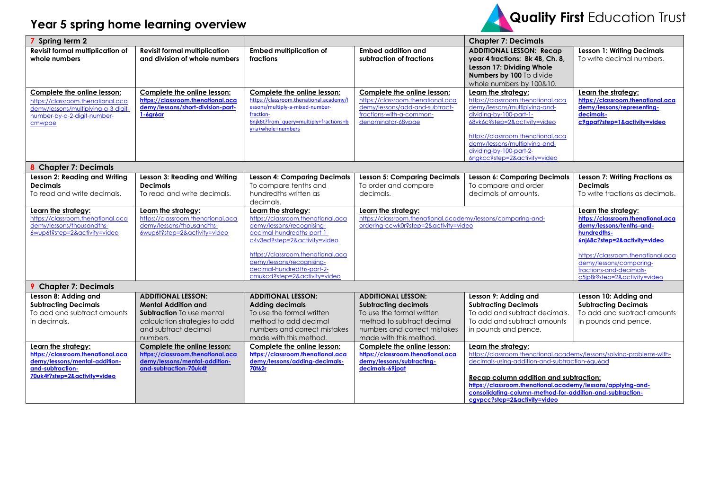## **Year 5 spring home learning overview**



| Spring term 2                                                                                                                                    |                                                                                                                                                                  |                                                                                                                                                                                                                                                                                     |                                                                                                                                                                               | <b>Chapter 7: Decimals</b>                                                                                                                                                                                                                                                                                                                                 |                                                                                                                                                                                                                                                                |
|--------------------------------------------------------------------------------------------------------------------------------------------------|------------------------------------------------------------------------------------------------------------------------------------------------------------------|-------------------------------------------------------------------------------------------------------------------------------------------------------------------------------------------------------------------------------------------------------------------------------------|-------------------------------------------------------------------------------------------------------------------------------------------------------------------------------|------------------------------------------------------------------------------------------------------------------------------------------------------------------------------------------------------------------------------------------------------------------------------------------------------------------------------------------------------------|----------------------------------------------------------------------------------------------------------------------------------------------------------------------------------------------------------------------------------------------------------------|
| <b>Revisit formal multiplication of</b><br>whole numbers                                                                                         | <b>Revisit formal multiplication</b><br>and division of whole numbers                                                                                            | <b>Embed multiplication of</b><br>fractions                                                                                                                                                                                                                                         | <b>Embed addition and</b><br>subtraction of fractions                                                                                                                         | <b>ADDITIONAL LESSON: Recap</b><br>year 4 fractions: Bk 4B, Ch. 8,<br>Lesson 17: Dividing Whole<br>Numbers by 100 To divide<br>whole numbers by 100&10.                                                                                                                                                                                                    | <b>Lesson 1: Writing Decimals</b><br>To write decimal numbers.                                                                                                                                                                                                 |
| Complete the online lesson:<br>https://classroom.thenational.aca<br>demy/lessons/multiplying-a-3-digit-<br>number-by-a-2-digit-number-<br>cmwpae | Complete the online lesson:<br>https://classroom.thenational.aca<br>demy/lessons/short-division-part-<br>$1 - 6$ gr $6$ ar                                       | Complete the online lesson:<br>https://classroom.thenational.academy/l<br>essons/multiply-a-mixed-number-<br>fraction-<br>6njk6t?from_query=multiply+fractions+b<br>y+a+whole+numbers                                                                                               | Complete the online lesson:<br>https://classroom.thenational.aca<br>demy/lessons/add-and-subtract-<br>fractions-with-a-common-<br>denominator-68vpae                          | Learn the strategy:<br>https://classroom.thenational.aca<br>demy/lessons/multiplying-and-<br>dividing-by-100-part-1-<br>68vk6c?step=2&activity=video<br>https://classroom.thenational.aca<br>demy/lessons/multiplying-and-<br>dividing-by-100-part-2-<br>6ngkcc?step=2&activity=video                                                                      | Learn the strategy:<br>https://classroom.thenational.aca<br>demy/lessons/representing-<br>decimals-<br>c9gpat?step=1&activity=video                                                                                                                            |
| <b>Chapter 7: Decimals</b>                                                                                                                       |                                                                                                                                                                  |                                                                                                                                                                                                                                                                                     |                                                                                                                                                                               |                                                                                                                                                                                                                                                                                                                                                            |                                                                                                                                                                                                                                                                |
| Lesson 2: Reading and Writing<br><b>Decimals</b><br>To read and write decimals.                                                                  | Lesson 3: Reading and Writing<br><b>Decimals</b><br>To read and write decimals.                                                                                  | <b>Lesson 4: Comparing Decimals</b><br>To compare tenths and<br>hundredths written as<br>decimals.                                                                                                                                                                                  | <b>Lesson 5: Comparing Decimals</b><br>To order and compare<br>decimals.                                                                                                      | Lesson 6: Comparing Decimals<br>To compare and order<br>decimals of amounts.                                                                                                                                                                                                                                                                               | Lesson 7: Writing Fractions as<br><b>Decimals</b><br>To write fractions as decimals.                                                                                                                                                                           |
| Learn the strategy:<br>https://classroom.thenational.aca<br>demy/lessons/thousandths-<br>6wup6t?step=2&activity=video                            | Learn the strategy:<br>https://classroom.thenational.aca<br>demy/lessons/thousandths-<br>6wup6t?step=2&activity=video                                            | Learn the strategy:<br>https://classroom.thenational.aca<br>demy/lessons/recognising-<br>decimal-hundredths-part-1-<br>c4v3ed?step=2&activity=video<br>https://classroom.thenational.aca<br>demy/lessons/recognising-<br>decimal-hundredths-part-2-<br>cmukcd?step=2&activity=video | Learn the strategy:<br>https://classroom.thenational.academy/lessons/comparing-and-<br>ordering-ccwk0r?step=2&activity=video                                                  |                                                                                                                                                                                                                                                                                                                                                            | Learn the strategy:<br>https://classroom.thenational.aca<br>demy/lessons/tenths-and-<br>hundredths-<br>6nj68c?step=2&activity=video<br>https://classroom.thenational.aca<br>demy/lessons/comparing-<br>fractions-and-decimals-<br>c5ip8r?step=2&activity=video |
| <b>Chapter 7: Decimals</b>                                                                                                                       |                                                                                                                                                                  |                                                                                                                                                                                                                                                                                     |                                                                                                                                                                               |                                                                                                                                                                                                                                                                                                                                                            |                                                                                                                                                                                                                                                                |
| Lesson 8: Adding and<br><b>Subtracting Decimals</b><br>To add and subtract amounts<br>in decimals.                                               | <b>ADDITIONAL LESSON:</b><br><b>Mental Addition and</b><br><b>Subtraction</b> To use mental<br>calculation strategies to add<br>and subtract decimal<br>numbers. | <b>ADDITIONAL LESSON:</b><br><b>Adding decimals</b><br>To use the formal written<br>method to add decimal<br>numbers and correct mistakes<br>made with this method.                                                                                                                 | <b>ADDITIONAL LESSON:</b><br><b>Subtracting decimals</b><br>To use the formal written<br>method to subtract decimal<br>numbers and correct mistakes<br>made with this method. | Lesson 9: Adding and<br><b>Subtracting Decimals</b><br>To add and subtract decimals.<br>To add and subtract amounts<br>in pounds and pence.                                                                                                                                                                                                                | Lesson 10: Adding and<br><b>Subtracting Decimals</b><br>To add and subtract amounts<br>in pounds and pence.                                                                                                                                                    |
| Learn the strategy:<br>https://classroom.thenational.aca<br>demy/lessons/mental-addition-<br>and-subtraction-<br>70uk4t?step=2&activity=video    | Complete the online lesson:<br>https://classroom.thenational.aca<br>demy/lessons/mental-addition-<br>and-subtraction-70uk4t                                      | Complete the online lesson:<br>https://classroom.thenational.aca<br>demy/lessons/adding-decimals-<br>70t62r                                                                                                                                                                         | Complete the online lesson:<br>https://classroom.thenational.aca<br>demy/lessons/subtracting-<br>decimals-69jpat                                                              | Learn the strateav:<br>https://classroom.thenational.academy/lessons/solving-problems-with-<br>decimals-using-addition-and-subtraction-6gu6ad<br><b>Recap column addition and subtraction:</b><br>https://classroom.thenational.academy/lessons/applying-and-<br>consolidating-column-method-for-addition-and-subtraction-<br>cavpcc?step=2&activity=video |                                                                                                                                                                                                                                                                |